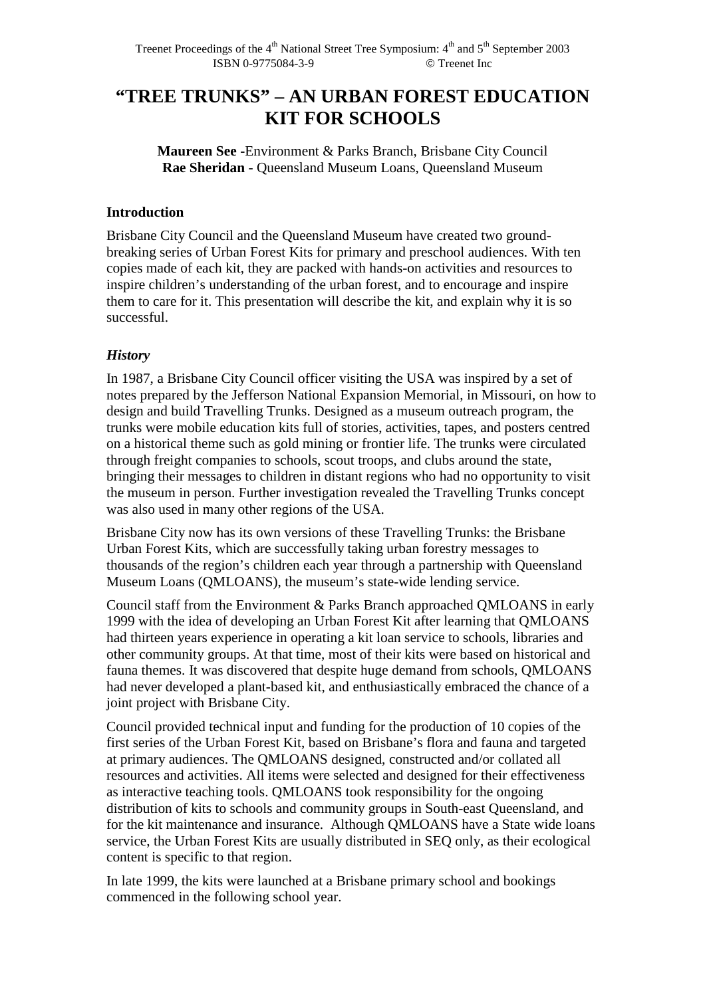# **"TREE TRUNKS" – AN URBAN FOREST EDUCATION KIT FOR SCHOOLS**

**Maureen See -**Environment & Parks Branch, Brisbane City Council **Rae Sheridan** - Queensland Museum Loans, Queensland Museum

## **Introduction**

Brisbane City Council and the Queensland Museum have created two groundbreaking series of Urban Forest Kits for primary and preschool audiences. With ten copies made of each kit, they are packed with hands-on activities and resources to inspire children's understanding of the urban forest, and to encourage and inspire them to care for it. This presentation will describe the kit, and explain why it is so successful.

# *History*

In 1987, a Brisbane City Council officer visiting the USA was inspired by a set of notes prepared by the Jefferson National Expansion Memorial, in Missouri, on how to design and build Travelling Trunks. Designed as a museum outreach program, the trunks were mobile education kits full of stories, activities, tapes, and posters centred on a historical theme such as gold mining or frontier life. The trunks were circulated through freight companies to schools, scout troops, and clubs around the state, bringing their messages to children in distant regions who had no opportunity to visit the museum in person. Further investigation revealed the Travelling Trunks concept was also used in many other regions of the USA.

Brisbane City now has its own versions of these Travelling Trunks: the Brisbane Urban Forest Kits, which are successfully taking urban forestry messages to thousands of the region's children each year through a partnership with Queensland Museum Loans (QMLOANS), the museum's state-wide lending service.

Council staff from the Environment & Parks Branch approached QMLOANS in early 1999 with the idea of developing an Urban Forest Kit after learning that QMLOANS had thirteen years experience in operating a kit loan service to schools, libraries and other community groups. At that time, most of their kits were based on historical and fauna themes. It was discovered that despite huge demand from schools, QMLOANS had never developed a plant-based kit, and enthusiastically embraced the chance of a joint project with Brisbane City.

Council provided technical input and funding for the production of 10 copies of the first series of the Urban Forest Kit, based on Brisbane's flora and fauna and targeted at primary audiences. The QMLOANS designed, constructed and/or collated all resources and activities. All items were selected and designed for their effectiveness as interactive teaching tools. QMLOANS took responsibility for the ongoing distribution of kits to schools and community groups in South-east Queensland, and for the kit maintenance and insurance. Although QMLOANS have a State wide loans service, the Urban Forest Kits are usually distributed in SEQ only, as their ecological content is specific to that region.

In late 1999, the kits were launched at a Brisbane primary school and bookings commenced in the following school year.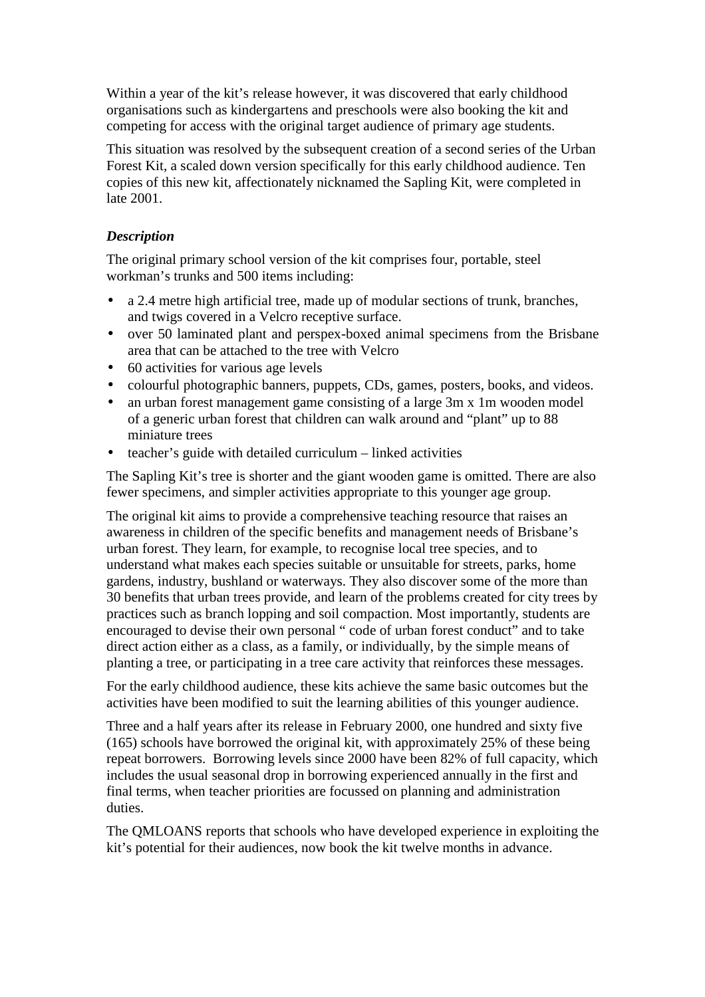Within a year of the kit's release however, it was discovered that early childhood organisations such as kindergartens and preschools were also booking the kit and competing for access with the original target audience of primary age students.

This situation was resolved by the subsequent creation of a second series of the Urban Forest Kit, a scaled down version specifically for this early childhood audience. Ten copies of this new kit, affectionately nicknamed the Sapling Kit, were completed in late 2001.

# *Description*

The original primary school version of the kit comprises four, portable, steel workman's trunks and 500 items including:

- a 2.4 metre high artificial tree, made up of modular sections of trunk, branches, and twigs covered in a Velcro receptive surface.
- over 50 laminated plant and perspex-boxed animal specimens from the Brisbane area that can be attached to the tree with Velcro
- 60 activities for various age levels
- colourful photographic banners, puppets, CDs, games, posters, books, and videos.
- an urban forest management game consisting of a large 3m x 1m wooden model of a generic urban forest that children can walk around and "plant" up to 88 miniature trees
- teacher's guide with detailed curriculum linked activities

The Sapling Kit's tree is shorter and the giant wooden game is omitted. There are also fewer specimens, and simpler activities appropriate to this younger age group.

The original kit aims to provide a comprehensive teaching resource that raises an awareness in children of the specific benefits and management needs of Brisbane's urban forest. They learn, for example, to recognise local tree species, and to understand what makes each species suitable or unsuitable for streets, parks, home gardens, industry, bushland or waterways. They also discover some of the more than 30 benefits that urban trees provide, and learn of the problems created for city trees by practices such as branch lopping and soil compaction. Most importantly, students are encouraged to devise their own personal " code of urban forest conduct" and to take direct action either as a class, as a family, or individually, by the simple means of planting a tree, or participating in a tree care activity that reinforces these messages.

For the early childhood audience, these kits achieve the same basic outcomes but the activities have been modified to suit the learning abilities of this younger audience.

Three and a half years after its release in February 2000, one hundred and sixty five (165) schools have borrowed the original kit, with approximately 25% of these being repeat borrowers. Borrowing levels since 2000 have been 82% of full capacity, which includes the usual seasonal drop in borrowing experienced annually in the first and final terms, when teacher priorities are focussed on planning and administration duties.

The QMLOANS reports that schools who have developed experience in exploiting the kit's potential for their audiences, now book the kit twelve months in advance.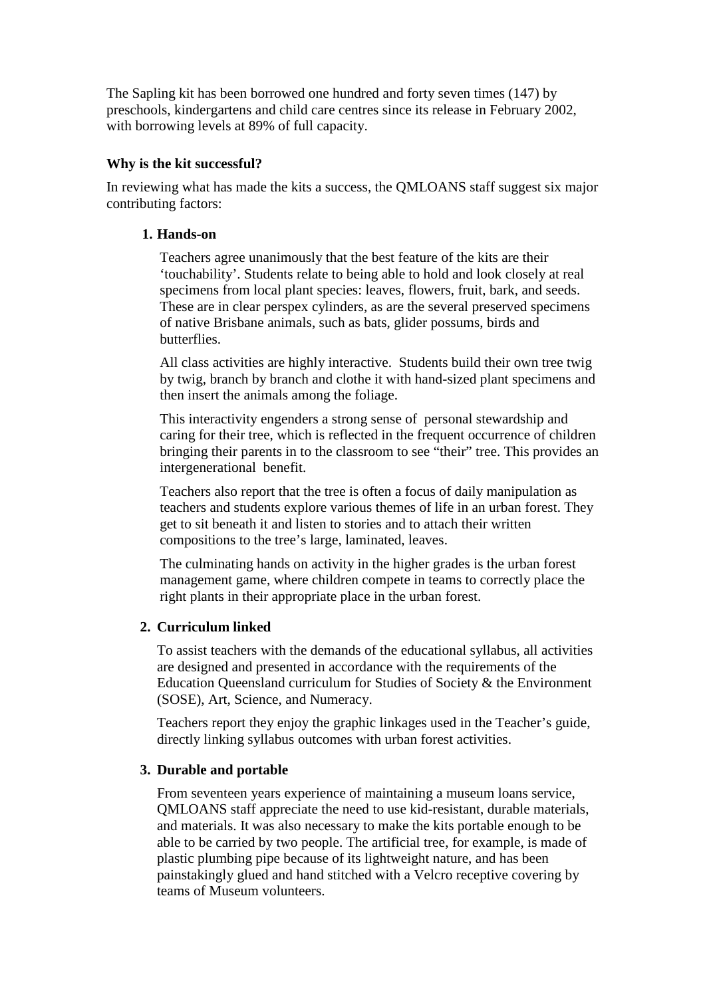The Sapling kit has been borrowed one hundred and forty seven times (147) by preschools, kindergartens and child care centres since its release in February 2002, with borrowing levels at 89% of full capacity.

## **Why is the kit successful?**

In reviewing what has made the kits a success, the QMLOANS staff suggest six major contributing factors:

## **1. Hands-on**

Teachers agree unanimously that the best feature of the kits are their 'touchability'. Students relate to being able to hold and look closely at real specimens from local plant species: leaves, flowers, fruit, bark, and seeds. These are in clear perspex cylinders, as are the several preserved specimens of native Brisbane animals, such as bats, glider possums, birds and butterflies.

All class activities are highly interactive. Students build their own tree twig by twig, branch by branch and clothe it with hand-sized plant specimens and then insert the animals among the foliage.

This interactivity engenders a strong sense of personal stewardship and caring for their tree, which is reflected in the frequent occurrence of children bringing their parents in to the classroom to see "their" tree. This provides an intergenerational benefit.

Teachers also report that the tree is often a focus of daily manipulation as teachers and students explore various themes of life in an urban forest. They get to sit beneath it and listen to stories and to attach their written compositions to the tree's large, laminated, leaves.

The culminating hands on activity in the higher grades is the urban forest management game, where children compete in teams to correctly place the right plants in their appropriate place in the urban forest.

# **2. Curriculum linked**

To assist teachers with the demands of the educational syllabus, all activities are designed and presented in accordance with the requirements of the Education Queensland curriculum for Studies of Society & the Environment (SOSE), Art, Science, and Numeracy.

Teachers report they enjoy the graphic linkages used in the Teacher's guide, directly linking syllabus outcomes with urban forest activities.

#### **3. Durable and portable**

From seventeen years experience of maintaining a museum loans service, QMLOANS staff appreciate the need to use kid-resistant, durable materials, and materials. It was also necessary to make the kits portable enough to be able to be carried by two people. The artificial tree, for example, is made of plastic plumbing pipe because of its lightweight nature, and has been painstakingly glued and hand stitched with a Velcro receptive covering by teams of Museum volunteers.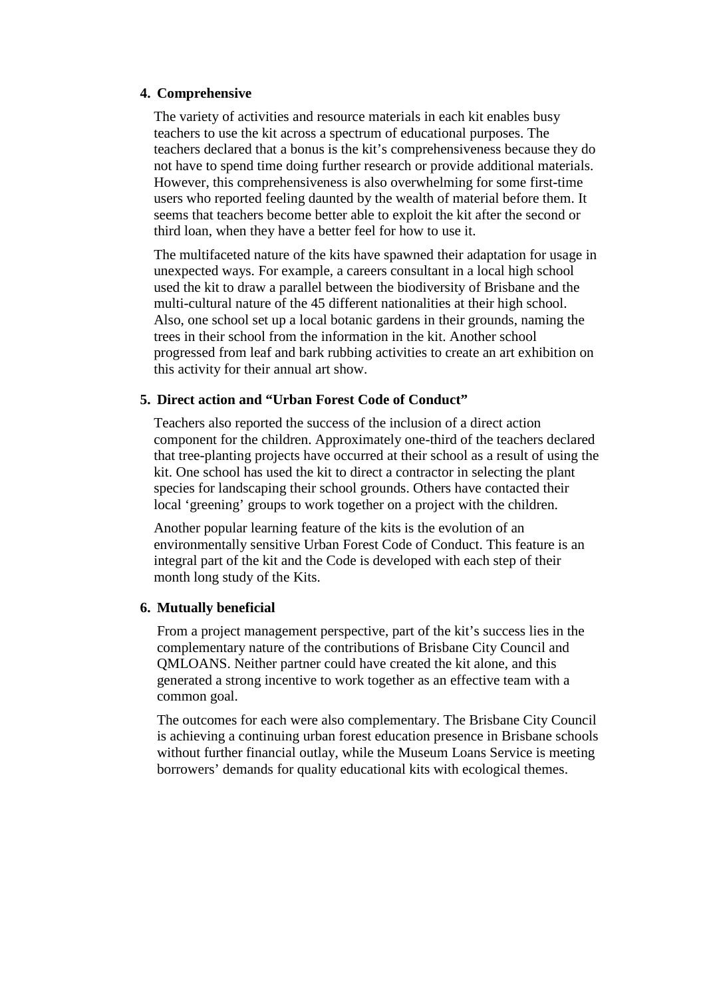#### **4. Comprehensive**

The variety of activities and resource materials in each kit enables busy teachers to use the kit across a spectrum of educational purposes. The teachers declared that a bonus is the kit's comprehensiveness because they do not have to spend time doing further research or provide additional materials. However, this comprehensiveness is also overwhelming for some first-time users who reported feeling daunted by the wealth of material before them. It seems that teachers become better able to exploit the kit after the second or third loan, when they have a better feel for how to use it.

The multifaceted nature of the kits have spawned their adaptation for usage in unexpected ways. For example, a careers consultant in a local high school used the kit to draw a parallel between the biodiversity of Brisbane and the multi-cultural nature of the 45 different nationalities at their high school. Also, one school set up a local botanic gardens in their grounds, naming the trees in their school from the information in the kit. Another school progressed from leaf and bark rubbing activities to create an art exhibition on this activity for their annual art show.

#### **5. Direct action and "Urban Forest Code of Conduct"**

Teachers also reported the success of the inclusion of a direct action component for the children. Approximately one-third of the teachers declared that tree-planting projects have occurred at their school as a result of using the kit. One school has used the kit to direct a contractor in selecting the plant species for landscaping their school grounds. Others have contacted their local 'greening' groups to work together on a project with the children.

Another popular learning feature of the kits is the evolution of an environmentally sensitive Urban Forest Code of Conduct. This feature is an integral part of the kit and the Code is developed with each step of their month long study of the Kits.

#### **6. Mutually beneficial**

From a project management perspective, part of the kit's success lies in the complementary nature of the contributions of Brisbane City Council and QMLOANS. Neither partner could have created the kit alone, and this generated a strong incentive to work together as an effective team with a common goal.

The outcomes for each were also complementary. The Brisbane City Council is achieving a continuing urban forest education presence in Brisbane schools without further financial outlay, while the Museum Loans Service is meeting borrowers' demands for quality educational kits with ecological themes.